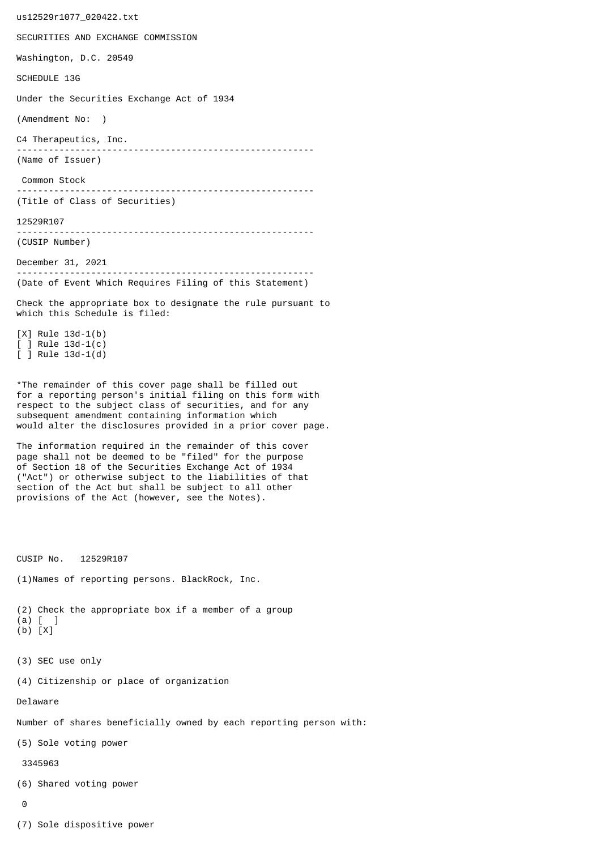us12529r1077\_020422.txt SECURITIES AND EXCHANGE COMMISSION Washington, D.C. 20549 SCHEDULE 13G Under the Securities Exchange Act of 1934 (Amendment No: ) C4 Therapeutics, Inc. -------------------------------------------------------- (Name of Issuer) Common Stock -------------------------------------------------------- (Title of Class of Securities) 12529R107 -------------------------------------------------------- (CUSIP Number) December 31, 2021 -------------------------------------------------------- (Date of Event Which Requires Filing of this Statement) Check the appropriate box to designate the rule pursuant to which this Schedule is filed: [X] Rule 13d-1(b) [ ] Rule 13d-1(c) [ ] Rule 13d-1(d) \*The remainder of this cover page shall be filled out for a reporting person's initial filing on this form with respect to the subject class of securities, and for any subsequent amendment containing information which would alter the disclosures provided in a prior cover page. The information required in the remainder of this cover page shall not be deemed to be "filed" for the purpose of Section 18 of the Securities Exchange Act of 1934 ("Act") or otherwise subject to the liabilities of that section of the Act but shall be subject to all other provisions of the Act (however, see the Notes). CUSIP No. 12529R107 (1)Names of reporting persons. BlackRock, Inc. (2) Check the appropriate box if a member of a group (a) [ ] (b) [X] (3) SEC use only (4) Citizenship or place of organization Delaware Number of shares beneficially owned by each reporting person with: (5) Sole voting power 3345963 (6) Shared voting power  $\Omega$ 

(7) Sole dispositive power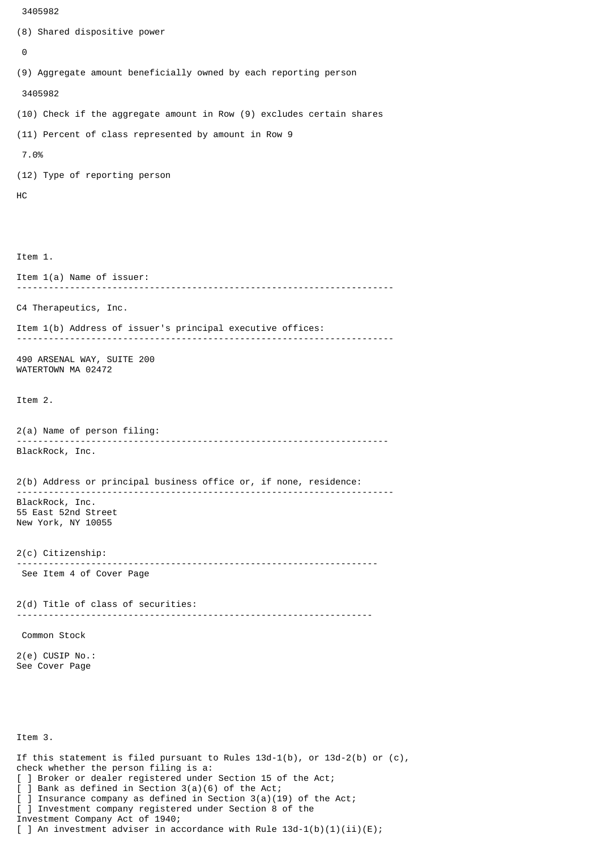```
 3405982
```

```
(8) Shared dispositive power
 \boldsymbol{\Theta}(9) Aggregate amount beneficially owned by each reporting person
  3405982
(10) Check if the aggregate amount in Row (9) excludes certain shares
(11) Percent of class represented by amount in Row 9
  7.0%
(12) Type of reporting person
HC
Item 1.
Item 1(a) Name of issuer:
            -----------------------------------------------------------------------
C4 Therapeutics, Inc.
Item 1(b) Address of issuer's principal executive offices:
-----------------------------------------------------------------------
490 ARSENAL WAY, SUITE 200
WATERTOWN MA 02472
Item 2.
2(a) Name of person filing:
               ----------------------------------------------------------------------
BlackRock, Inc.
2(b) Address or principal business office or, if none, residence:
 -----------------------------------------------------------------------
BlackRock, Inc.
55 East 52nd Street
New York, NY 10055
2(c) Citizenship:
                            --------------------------------------------------------------------
 See Item 4 of Cover Page
2(d) Title of class of securities:
                                       -------------------------------------------------------------------
 Common Stock
2(e) CUSIP No.:
See Cover Page
Item 3.
If this statement is filed pursuant to Rules 13d-1(b), or 13d-2(b) or (c),
check whether the person filing is a:
[ ] Broker or dealer registered under Section 15 of the Act;
[ ] Bank as defined in Section 3(a)(6) of the Act;
  ] Insurance company as defined in Section 3(a)(19) of the Act;
[ ] Investment company registered under Section 8 of the
```
Investment Company Act of 1940;

<sup>[ ]</sup> An investment adviser in accordance with Rule  $13d-1(b)(1)(ii)(E)$ ;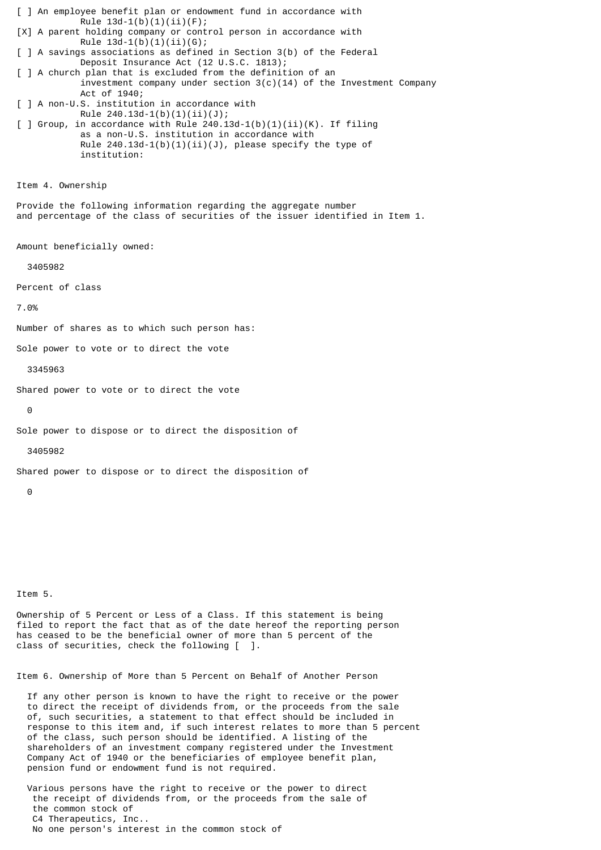[ ] An employee benefit plan or endowment fund in accordance with Rule  $13d-1(b)(1)(ii)(F);$ [X] A parent holding company or control person in accordance with Rule  $13d-1(b)(1)(ii)(G);$ [ ] A savings associations as defined in Section 3(b) of the Federal Deposit Insurance Act (12 U.S.C. 1813); [ ] A church plan that is excluded from the definition of an investment company under section  $3(c)(14)$  of the Investment Company Act of 1940; [ ] A non-U.S. institution in accordance with Rule 240.13d-1(b)(1)(ii)(J);  $\lceil$  ] Group, in accordance with Rule 240.13d-1(b)(1)(ii)(K). If filing as a non-U.S. institution in accordance with Rule  $240.13d-1(b)(1)(ii)(J)$ , please specify the type of institution: Item 4. Ownership Provide the following information regarding the aggregate number and percentage of the class of securities of the issuer identified in Item 1. Amount beneficially owned: 3405982 Percent of class 7.0% Number of shares as to which such person has: Sole power to vote or to direct the vote 3345963 Shared power to vote or to direct the vote  $\Theta$ Sole power to dispose or to direct the disposition of 3405982 Shared power to dispose or to direct the disposition of  $\Omega$ 

Item 5.

Ownership of 5 Percent or Less of a Class. If this statement is being filed to report the fact that as of the date hereof the reporting person has ceased to be the beneficial owner of more than 5 percent of the class of securities, check the following [ ].

Item 6. Ownership of More than 5 Percent on Behalf of Another Person

 If any other person is known to have the right to receive or the power to direct the receipt of dividends from, or the proceeds from the sale of, such securities, a statement to that effect should be included in response to this item and, if such interest relates to more than 5 percent of the class, such person should be identified. A listing of the shareholders of an investment company registered under the Investment Company Act of 1940 or the beneficiaries of employee benefit plan, pension fund or endowment fund is not required.

 Various persons have the right to receive or the power to direct the receipt of dividends from, or the proceeds from the sale of the common stock of C4 Therapeutics, Inc.. No one person's interest in the common stock of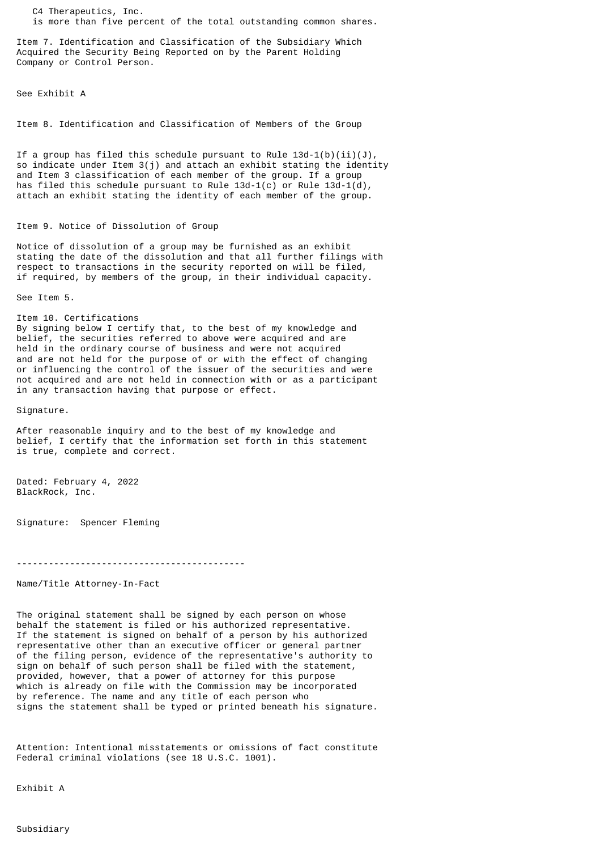C4 Therapeutics, Inc. is more than five percent of the total outstanding common shares.

Item 7. Identification and Classification of the Subsidiary Which Acquired the Security Being Reported on by the Parent Holding Company or Control Person.

See Exhibit A

Item 8. Identification and Classification of Members of the Group

If a group has filed this schedule pursuant to Rule  $13d-1(b)(ii)(J)$ , so indicate under Item 3(j) and attach an exhibit stating the identity and Item 3 classification of each member of the group. If a group has filed this schedule pursuant to Rule  $13d-1(c)$  or Rule  $13d-1(d)$ , attach an exhibit stating the identity of each member of the group.

## Item 9. Notice of Dissolution of Group

Notice of dissolution of a group may be furnished as an exhibit stating the date of the dissolution and that all further filings with respect to transactions in the security reported on will be filed, if required, by members of the group, in their individual capacity.

See Item 5.

Item 10. Certifications By signing below I certify that, to the best of my knowledge and belief, the securities referred to above were acquired and are held in the ordinary course of business and were not acquired and are not held for the purpose of or with the effect of changing or influencing the control of the issuer of the securities and were not acquired and are not held in connection with or as a participant

in any transaction having that purpose or effect.

Signature.

After reasonable inquiry and to the best of my knowledge and belief, I certify that the information set forth in this statement is true, complete and correct.

Dated: February 4, 2022 BlackRock, Inc.

Signature: Spencer Fleming

-------------------------------------------

Name/Title Attorney-In-Fact

The original statement shall be signed by each person on whose behalf the statement is filed or his authorized representative. If the statement is signed on behalf of a person by his authorized representative other than an executive officer or general partner of the filing person, evidence of the representative's authority to sign on behalf of such person shall be filed with the statement, provided, however, that a power of attorney for this purpose which is already on file with the Commission may be incorporated by reference. The name and any title of each person who signs the statement shall be typed or printed beneath his signature.

Attention: Intentional misstatements or omissions of fact constitute Federal criminal violations (see 18 U.S.C. 1001).

Exhibit A